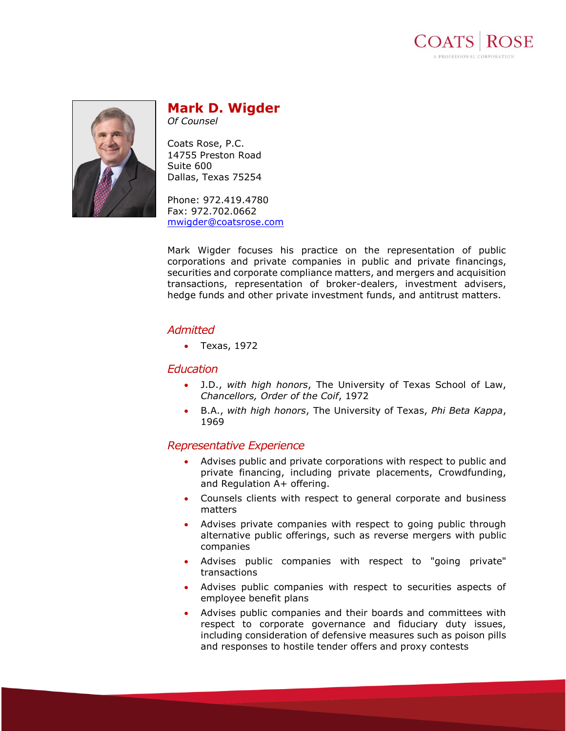



# **Mark D. Wigder**

*Of Counsel*

Coats Rose, P.C. 14755 Preston Road Suite 600 Dallas, Texas 75254

Phone: 972.419.4780 Fax: 972.702.0662 [mwigder@coatsrose.com](mailto:mwigder@coatsrose.com)

Mark Wigder focuses his practice on the representation of public corporations and private companies in public and private financings, securities and corporate compliance matters, and mergers and acquisition transactions, representation of broker-dealers, investment advisers, hedge funds and other private investment funds, and antitrust matters.

# *Admitted*

• Texas, 1972

## *Education*

- J.D., *with high honors*, The University of Texas School of Law, *Chancellors, Order of the Coif*, 1972
- B.A., *with high honors*, The University of Texas, *Phi Beta Kappa*, 1969

# *Representative Experience*

- Advises public and private corporations with respect to public and private financing, including private placements, Crowdfunding, and Regulation A+ offering.
- Counsels clients with respect to general corporate and business matters
- Advises private companies with respect to going public through alternative public offerings, such as reverse mergers with public companies
- Advises public companies with respect to "going private" transactions
- Advises public companies with respect to securities aspects of employee benefit plans
- Advises public companies and their boards and committees with respect to corporate governance and fiduciary duty issues, including consideration of defensive measures such as poison pills and responses to hostile tender offers and proxy contests